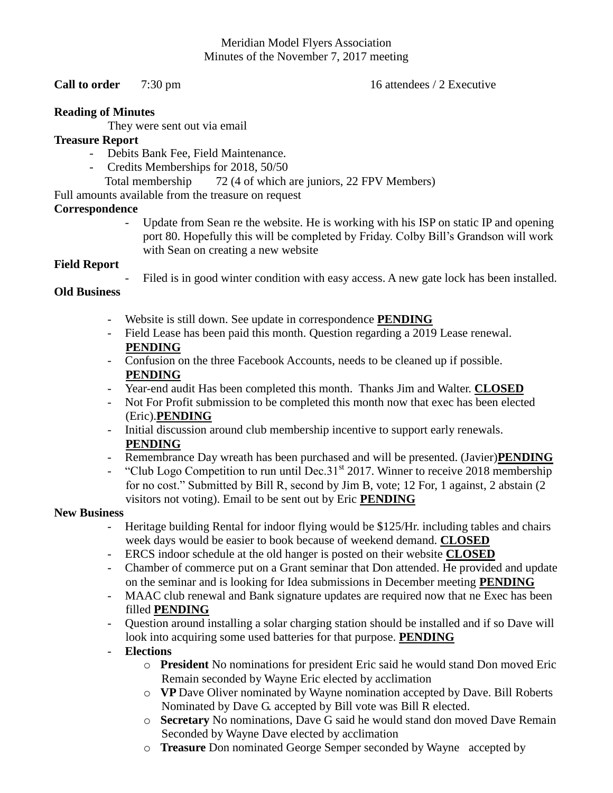#### Meridian Model Flyers Association Minutes of the November 7, 2017 meeting

#### **Call to order** 7:30 pm 16 attendees / 2 Executive

#### **Reading of Minutes**

They were sent out via email

# **Treasure Report**

- Debits Bank Fee, Field Maintenance.
- Credits Memberships for 2018, 50/50
- Total membership 72 (4 of which are juniors, 22 FPV Members)

Full amounts available from the treasure on request

## **Correspondence**

Update from Sean re the website. He is working with his ISP on static IP and opening port 80. Hopefully this will be completed by Friday. Colby Bill's Grandson will work with Sean on creating a new website

## **Field Report**

Filed is in good winter condition with easy access. A new gate lock has been installed.

# **Old Business**

- Website is still down. See update in correspondence **PENDING**
- Field Lease has been paid this month. Question regarding a 2019 Lease renewal. **PENDING**
- Confusion on the three Facebook Accounts, needs to be cleaned up if possible. **PENDING**
- Year-end audit Has been completed this month. Thanks Jim and Walter. **CLOSED**
- Not For Profit submission to be completed this month now that exec has been elected (Eric).**PENDING**
- Initial discussion around club membership incentive to support early renewals. **PENDING**
- Remembrance Day wreath has been purchased and will be presented. (Javier)**PENDING**
- "Club Logo Competition to run until Dec.  $31<sup>st</sup> 2017$ . Winner to receive 2018 membership for no cost." Submitted by Bill R, second by Jim B, vote; 12 For, 1 against, 2 abstain (2 visitors not voting). Email to be sent out by Eric **PENDING**

#### **New Business**

- Heritage building Rental for indoor flying would be \$125/Hr. including tables and chairs week days would be easier to book because of weekend demand. **CLOSED**
- ERCS indoor schedule at the old hanger is posted on their website **CLOSED**
- Chamber of commerce put on a Grant seminar that Don attended. He provided and update on the seminar and is looking for Idea submissions in December meeting **PENDING**
- MAAC club renewal and Bank signature updates are required now that ne Exec has been filled **PENDING**
- Question around installing a solar charging station should be installed and if so Dave will look into acquiring some used batteries for that purpose. **PENDING**

## - **Elections**

- o **President** No nominations for president Eric said he would stand Don moved Eric Remain seconded by Wayne Eric elected by acclimation
- o **VP** Dave Oliver nominated by Wayne nomination accepted by Dave. Bill Roberts Nominated by Dave G. accepted by Bill vote was Bill R elected.
- o **Secretary** No nominations, Dave G said he would stand don moved Dave Remain Seconded by Wayne Dave elected by acclimation
- o **Treasure** Don nominated George Semper seconded by Wayne accepted by